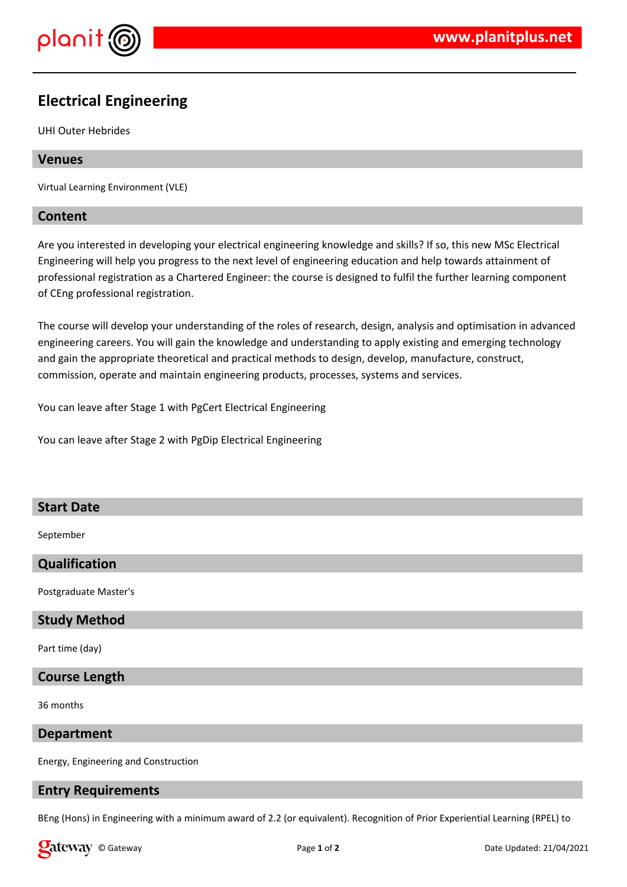

# **Electrical Engineering**

UHI Outer Hebrides

## **Venues**

Virtual Learning Environment (VLE)

## **Content**

Are you interested in developing your electrical engineering knowledge and skills? If so, this new MSc Electrical Engineering will help you progress to the next level of engineering education and help towards attainment of professional registration as a Chartered Engineer: the course is designed to fulfil the further learning component of CEng professional registration.

The course will develop your understanding of the roles of research, design, analysis and optimisation in advanced engineering careers. You will gain the knowledge and understanding to apply existing and emerging technology and gain the appropriate theoretical and practical methods to design, develop, manufacture, construct, commission, operate and maintain engineering products, processes, systems and services.

You can leave after Stage 1 with PgCert Electrical Engineering

You can leave after Stage 2 with PgDip Electrical Engineering

## **Start Date**

September

## **Qualification**

Postgraduate Master's

## **Study Method**

Part time (day)

## **Course Length**

36 months

#### **Department**

Energy, Engineering and Construction

## **Entry Requirements**

BEng (Hons) in Engineering with a minimum award of 2.2 (or equivalent). Recognition of Prior Experiential Learning (RPEL) to